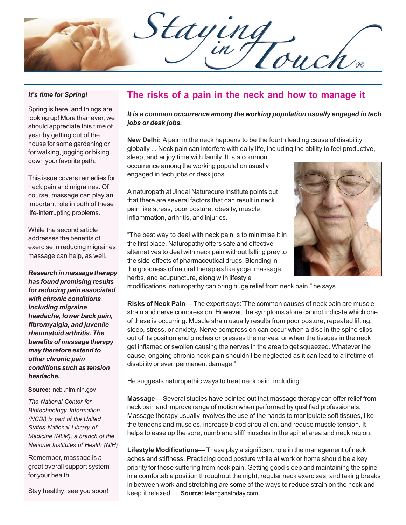Staying

#### *It's time for Spring!*

Spring is here, and things are looking up! More than ever, we should appreciate this time of year by getting out of the house for some gardening or for walking, jogging or biking down your favorite path.

This issue covers remedies for neck pain and migraines. Of course, massage can play an important role in both of these life-interrupting problems.

While the second article addresses the benefits of exercise in reducing migraines, massage can help, as well.

*Research in massage therapy has found promising results for reducing pain associated with chronic conditions including migraine headache, lower back pain, fibromyalgia, and juvenile rheumatoid arthritis. The benefits of massage therapy may therefore extend to other chronic pain conditions such as tension headache.*

#### **Source:** ncbi.nlm.nih.gov

*The National Center for Biotechnology Information (NCBI) is part of the United States National Library of Medicine (NLM), a branch of the National Institutes of Health (NIH)*

Remember, massage is a great overall support system for your health.

Stay healthy; see you soon!

## **The risks of a pain in the neck and how to manage it**

*It is a common occurrence among the working population usually engaged in tech jobs or desk jobs.*

**New Delhi:** A pain in the neck happens to be the fourth leading cause of disability globally ... Neck pain can interfere with daily life, including the ability to feel productive,

sleep, and enjoy time with family. It is a common occurrence among the working population usually engaged in tech jobs or desk jobs.

A naturopath at Jindal Naturecure Institute points out that there are several factors that can result in neck pain like stress, poor posture, obesity, muscle inflammation, arthritis, and injuries.



"The best way to deal with neck pain is to minimise it in the first place. Naturopathy offers safe and effective alternatives to deal with neck pain without falling prey to the side-effects of pharmaceutical drugs. Blending in the goodness of natural therapies like yoga, massage, herbs, and acupuncture, along with lifestyle

modifications, naturopathy can bring huge relief from neck pain," he says.

**Risks of Neck Pain—** The expert says:"The common causes of neck pain are muscle strain and nerve compression. However, the symptoms alone cannot indicate which one of these is occurring. Muscle strain usually results from poor posture, repeated lifting, sleep, stress, or anxiety. Nerve compression can occur when a disc in the spine slips out of its position and pinches or presses the nerves, or when the tissues in the neck get inflamed or swollen causing the nerves in the area to get squeezed. Whatever the cause, ongoing chronic neck pain shouldn't be neglected as it can lead to a lifetime of disability or even permanent damage."

He suggests naturopathic ways to treat neck pain, including:

**Massage—** Several studies have pointed out that massage therapy can offer relief from neck pain and improve range of motion when performed by qualified professionals. Massage therapy usually involves the use of the hands to manipulate soft tissues, like the tendons and muscles, increase blood circulation, and reduce muscle tension. It helps to ease up the sore, numb and stiff muscles in the spinal area and neck region.

**Lifestyle Modifications—** These play a significant role in the management of neck aches and stiffness. Practicing good posture while at work or home should be a key priority for those suffering from neck pain. Getting good sleep and maintaining the spine in a comfortable position throughout the night, regular neck exercises, and taking breaks in between work and stretching are some of the ways to reduce strain on the neck and keep it relaxed. **Source:** telanganatoday.com